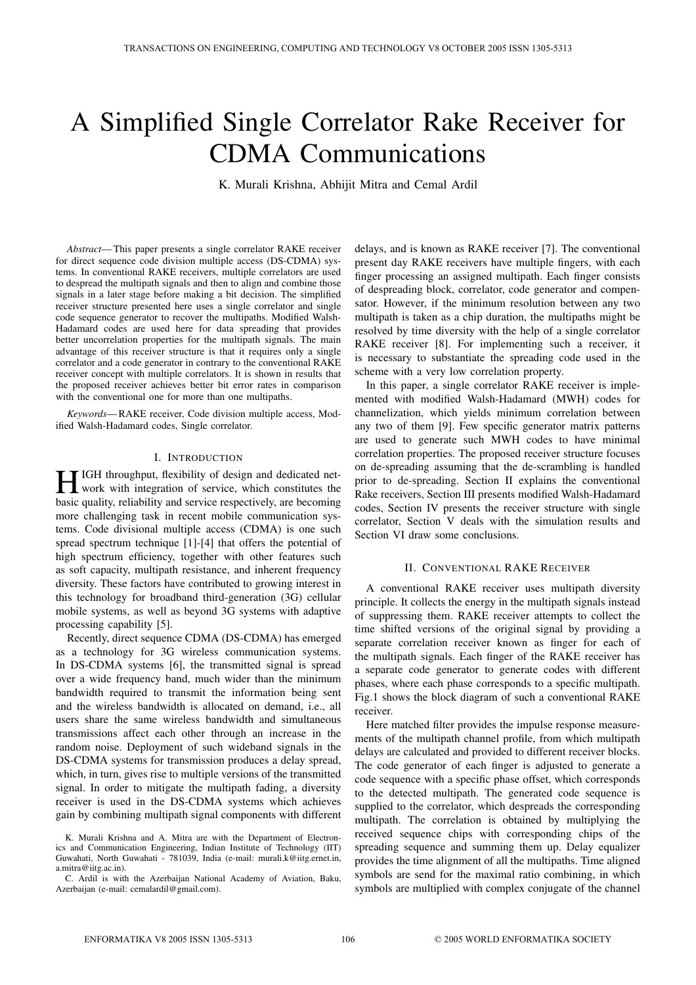# A Simplified Single Correlator Rake Receiver for CDMA Communications

K. Murali Krishna, Abhijit Mitra and Cemal Ardil

*Abstract*— This paper presents a single correlator RAKE receiver for direct sequence code division multiple access (DS-CDMA) systems. In conventional RAKE receivers, multiple correlators are used to despread the multipath signals and then to align and combine those signals in a later stage before making a bit decision. The simplified receiver structure presented here uses a single correlator and single code sequence generator to recover the multipaths. Modified Walsh-Hadamard codes are used here for data spreading that provides better uncorrelation properties for the multipath signals. The main advantage of this receiver structure is that it requires only a single correlator and a code generator in contrary to the conventional RAKE receiver concept with multiple correlators. It is shown in results that the proposed receiver achieves better bit error rates in comparison with the conventional one for more than one multipaths.

*Keywords*— RAKE receiver, Code division multiple access, Modified Walsh-Hadamard codes, Single correlator.

# I. INTRODUCTION

**HIGH** throughput, flexibility of design and dedicated net-<br>work with integration of service, which constitutes the<br>heating analytically and constitutive are becoming basic quality, reliability and service respectively, are becoming more challenging task in recent mobile communication systems. Code divisional multiple access (CDMA) is one such spread spectrum technique [1]-[4] that offers the potential of high spectrum efficiency, together with other features such as soft capacity, multipath resistance, and inherent frequency diversity. These factors have contributed to growing interest in this technology for broadband third-generation (3G) cellular mobile systems, as well as beyond 3G systems with adaptive processing capability [5].

Recently, direct sequence CDMA (DS-CDMA) has emerged as a technology for 3G wireless communication systems. In DS-CDMA systems [6], the transmitted signal is spread over a wide frequency band, much wider than the minimum bandwidth required to transmit the information being sent and the wireless bandwidth is allocated on demand, i.e., all users share the same wireless bandwidth and simultaneous transmissions affect each other through an increase in the random noise. Deployment of such wideband signals in the DS-CDMA systems for transmission produces a delay spread, which, in turn, gives rise to multiple versions of the transmitted signal. In order to mitigate the multipath fading, a diversity receiver is used in the DS-CDMA systems which achieves gain by combining multipath signal components with different

C. Ardil is with the Azerbaijan National Academy of Aviation, Baku, Azerbaijan (e-mail: cemalardil@gmail.com).

delays, and is known as RAKE receiver [7]. The conventional present day RAKE receivers have multiple fingers, with each finger processing an assigned multipath. Each finger consists of despreading block, correlator, code generator and compensator. However, if the minimum resolution between any two multipath is taken as a chip duration, the multipaths might be resolved by time diversity with the help of a single correlator RAKE receiver [8]. For implementing such a receiver, it is necessary to substantiate the spreading code used in the scheme with a very low correlation property.

In this paper, a single correlator RAKE receiver is implemented with modified Walsh-Hadamard (MWH) codes for channelization, which yields minimum correlation between any two of them [9]. Few specific generator matrix patterns are used to generate such MWH codes to have minimal correlation properties. The proposed receiver structure focuses on de-spreading assuming that the de-scrambling is handled prior to de-spreading. Section II explains the conventional Rake receivers, Section III presents modified Walsh-Hadamard codes, Section IV presents the receiver structure with single correlator, Section V deals with the simulation results and Section VI draw some conclusions.

## II. CONVENTIONAL RAKE RECEIVER

A conventional RAKE receiver uses multipath diversity principle. It collects the energy in the multipath signals instead of suppressing them. RAKE receiver attempts to collect the time shifted versions of the original signal by providing a separate correlation receiver known as finger for each of the multipath signals. Each finger of the RAKE receiver has a separate code generator to generate codes with different phases, where each phase corresponds to a specific multipath. Fig.1 shows the block diagram of such a conventional RAKE receiver.

Here matched filter provides the impulse response measurements of the multipath channel profile, from which multipath delays are calculated and provided to different receiver blocks. The code generator of each finger is adjusted to generate a code sequence with a specific phase offset, which corresponds to the detected multipath. The generated code sequence is supplied to the correlator, which despreads the corresponding multipath. The correlation is obtained by multiplying the received sequence chips with corresponding chips of the spreading sequence and summing them up. Delay equalizer provides the time alignment of all the multipaths. Time aligned symbols are send for the maximal ratio combining, in which symbols are multiplied with complex conjugate of the channel

K. Murali Krishna and A. Mitra are with the Department of Electronics and Communication Engineering, Indian Institute of Technology (IIT) Guwahati, North Guwahati - 781039, India (e-mail: murali.k@iitg.ernet.in, a.mitra@iitg.ac.in).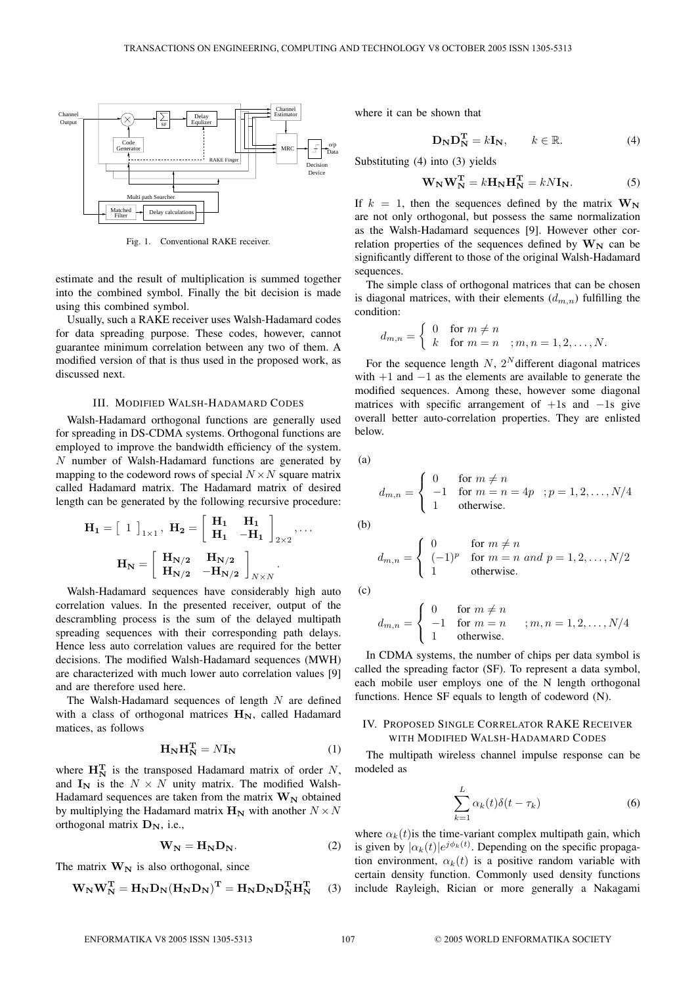

Fig. 1. Conventional RAKE receiver.

estimate and the result of multiplication is summed together into the combined symbol. Finally the bit decision is made using this combined symbol.

Usually, such a RAKE receiver uses Walsh-Hadamard codes for data spreading purpose. These codes, however, cannot guarantee minimum correlation between any two of them. A modified version of that is thus used in the proposed work, as discussed next.

#### III. MODIFIED WALSH-HADAMARD CODES

Walsh-Hadamard orthogonal functions are generally used for spreading in DS-CDMA systems. Orthogonal functions are employed to improve the bandwidth efficiency of the system. N number of Walsh-Hadamard functions are generated by mapping to the codeword rows of special  $N \times N$  square matrix called Hadamard matrix. The Hadamard matrix of desired length can be generated by the following recursive procedure:

$$
\mathbf{H}_{1} = \begin{bmatrix} 1 \end{bmatrix}_{1 \times 1}, \ \mathbf{H}_{2} = \begin{bmatrix} \mathbf{H}_{1} & \mathbf{H}_{1} \\ \mathbf{H}_{1} & -\mathbf{H}_{1} \end{bmatrix}_{2 \times 2}, \dots
$$

$$
\mathbf{H}_{N} = \begin{bmatrix} \mathbf{H}_{N/2} & \mathbf{H}_{N/2} \\ \mathbf{H}_{N/2} & -\mathbf{H}_{N/2} \end{bmatrix}_{N \times N}.
$$

Walsh-Hadamard sequences have considerably high auto correlation values. In the presented receiver, output of the descrambling process is the sum of the delayed multipath spreading sequences with their corresponding path delays. Hence less auto correlation values are required for the better decisions. The modified Walsh-Hadamard sequences (MWH) are characterized with much lower auto correlation values [9] and are therefore used here.

The Walsh-Hadamard sequences of length  $N$  are defined with a class of orthogonal matrices  $H_N$ , called Hadamard matices, as follows

$$
\mathbf{H}_{\mathbf{N}} \mathbf{H}_{\mathbf{N}}^{\mathbf{T}} = N \mathbf{I}_{\mathbf{N}} \tag{1}
$$

where  $\mathbf{H}_{\mathbf{N}}^{\mathbf{T}}$  is the transposed Hadamard matrix of order N, and  $I_N$  is the  $N \times N$  unity matrix. The modified Walsh-Hadamard sequences are taken from the matrix  $W_N$  obtained by multiplying the Hadamard matrix  $\mathbf{H_N}$  with another  $N \times N$ orthogonal matrix **DN**, i.e.,

$$
\mathbf{W}_{\mathbf{N}} = \mathbf{H}_{\mathbf{N}} \mathbf{D}_{\mathbf{N}}.\tag{2}
$$

The matrix  $W_N$  is also orthogonal, since

$$
\mathbf{W}_{\mathbf{N}} \mathbf{W}_{\mathbf{N}}^{\mathbf{T}} = \mathbf{H}_{\mathbf{N}} \mathbf{D}_{\mathbf{N}} (\mathbf{H}_{\mathbf{N}} \mathbf{D}_{\mathbf{N}})^{\mathbf{T}} = \mathbf{H}_{\mathbf{N}} \mathbf{D}_{\mathbf{N}} \mathbf{D}_{\mathbf{N}}^{\mathbf{T}} \mathbf{H}_{\mathbf{N}}^{\mathbf{T}} \tag{3}
$$

where it can be shown that

$$
\mathbf{D}_{\mathbf{N}} \mathbf{D}_{\mathbf{N}}^{\mathbf{T}} = k \mathbf{I}_{\mathbf{N}}, \qquad k \in \mathbb{R}.
$$
 (4)

Substituting (4) into (3) yields

$$
\mathbf{W}_{\mathbf{N}} \mathbf{W}_{\mathbf{N}}^{\mathbf{T}} = k \mathbf{H}_{\mathbf{N}} \mathbf{H}_{\mathbf{N}}^{\mathbf{T}} = k N \mathbf{I}_{\mathbf{N}}.
$$
 (5)

If  $k = 1$ , then the sequences defined by the matrix  $W_N$ are not only orthogonal, but possess the same normalization as the Walsh-Hadamard sequences [9]. However other correlation properties of the sequences defined by  $W_N$  can be significantly different to those of the original Walsh-Hadamard sequences.

The simple class of orthogonal matrices that can be chosen is diagonal matrices, with their elements  $(d_{m,n})$  fulfilling the condition:

$$
d_{m,n} = \begin{cases} 0 & \text{for } m \neq n \\ k & \text{for } m = n \end{cases}; m, n = 1, 2, \dots, N.
$$

For the sequence length  $N$ ,  $2^N$  different diagonal matrices with  $+1$  and  $-1$  as the elements are available to generate the modified sequences. Among these, however some diagonal matrices with specific arrangement of  $+1s$  and  $-1s$  give overall better auto-correlation properties. They are enlisted below.

(a)

$$
d_{m,n} = \begin{cases} 0 & \text{for } m \neq n \\ -1 & \text{for } m = n = 4p \\ 1 & \text{otherwise.} \end{cases}; p = 1, 2, \dots, N/4
$$

(b)

$$
d_{m,n} = \begin{cases} 0 & \text{for } m \neq n \\ (-1)^p & \text{for } m = n \text{ and } p = 1, 2, \dots, N/2 \\ 1 & \text{otherwise.} \end{cases}
$$

(c)

$$
d_{m,n} = \begin{cases} 0 & \text{for } m \neq n \\ -1 & \text{for } m = n \\ 1 & \text{otherwise.} \end{cases} ; m, n = 1, 2, \dots, N/4
$$

In CDMA systems, the number of chips per data symbol is called the spreading factor (SF). To represent a data symbol, each mobile user employs one of the N length orthogonal functions. Hence SF equals to length of codeword (N).

### IV. PROPOSED SINGLE CORRELATOR RAKE RECEIVER WITH MODIFIED WALSH-HADAMARD CODES

The multipath wireless channel impulse response can be modeled as

$$
\sum_{k=1}^{L} \alpha_k(t)\delta(t-\tau_k)
$$
\n(6)

where  $\alpha_k(t)$  is the time-variant complex multipath gain, which is given by  $|\alpha_k(t)|e^{j\phi_k(t)}$ . Depending on the specific propagation environment,  $\alpha_k(t)$  is a positive random variable with certain density function. Commonly used density functions include Rayleigh, Rician or more generally a Nakagami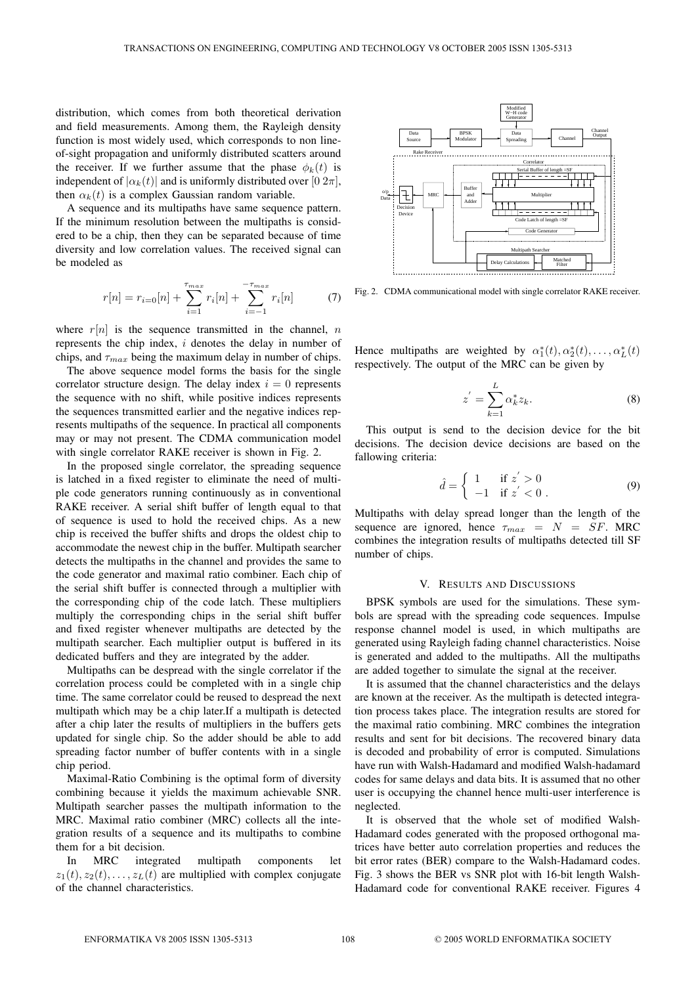distribution, which comes from both theoretical derivation and field measurements. Among them, the Rayleigh density function is most widely used, which corresponds to non lineof-sight propagation and uniformly distributed scatters around the receiver. If we further assume that the phase  $\phi_k(t)$  is independent of  $|\alpha_k(t)|$  and is uniformly distributed over  $[0 \ 2\pi]$ , then  $\alpha_k(t)$  is a complex Gaussian random variable.

A sequence and its multipaths have same sequence pattern. If the minimum resolution between the multipaths is considered to be a chip, then they can be separated because of time diversity and low correlation values. The received signal can be modeled as

$$
r[n] = r_{i=0}[n] + \sum_{i=1}^{\tau_{max}} r_i[n] + \sum_{i=-1}^{-\tau_{max}} r_i[n]
$$
 (7)

where  $r[n]$  is the sequence transmitted in the channel, n represents the chip index, i denotes the delay in number of chips, and  $\tau_{max}$  being the maximum delay in number of chips.

The above sequence model forms the basis for the single correlator structure design. The delay index  $i = 0$  represents the sequence with no shift, while positive indices represents the sequences transmitted earlier and the negative indices represents multipaths of the sequence. In practical all components may or may not present. The CDMA communication model with single correlator RAKE receiver is shown in Fig. 2.

In the proposed single correlator, the spreading sequence is latched in a fixed register to eliminate the need of multiple code generators running continuously as in conventional RAKE receiver. A serial shift buffer of length equal to that of sequence is used to hold the received chips. As a new chip is received the buffer shifts and drops the oldest chip to accommodate the newest chip in the buffer. Multipath searcher detects the multipaths in the channel and provides the same to the code generator and maximal ratio combiner. Each chip of the serial shift buffer is connected through a multiplier with the corresponding chip of the code latch. These multipliers multiply the corresponding chips in the serial shift buffer and fixed register whenever multipaths are detected by the multipath searcher. Each multiplier output is buffered in its dedicated buffers and they are integrated by the adder.

Multipaths can be despread with the single correlator if the correlation process could be completed with in a single chip time. The same correlator could be reused to despread the next multipath which may be a chip later.If a multipath is detected after a chip later the results of multipliers in the buffers gets updated for single chip. So the adder should be able to add spreading factor number of buffer contents with in a single chip period.

Maximal-Ratio Combining is the optimal form of diversity combining because it yields the maximum achievable SNR. Multipath searcher passes the multipath information to the MRC. Maximal ratio combiner (MRC) collects all the integration results of a sequence and its multipaths to combine them for a bit decision.

In MRC integrated multipath components let  $z_1(t), z_2(t), \ldots, z_L(t)$  are multiplied with complex conjugate of the channel characteristics.



Fig. 2. CDMA communicational model with single correlator RAKE receiver.

Hence multipaths are weighted by  $\alpha_1^*(t), \alpha_2^*(t), \dots, \alpha_L^*(t)$ respectively. The output of the MRC can be given by

$$
z' = \sum_{k=1}^{L} \alpha_k^* z_k.
$$
 (8)

This output is send to the decision device for the bit decisions. The decision device decisions are based on the fallowing criteria:

$$
\hat{d} = \begin{cases} 1 & \text{if } z' > 0 \\ -1 & \text{if } z' < 0 \end{cases}
$$
 (9)

Multipaths with delay spread longer than the length of the sequence are ignored, hence  $\tau_{max} = N = SF$ . MRC combines the integration results of multipaths detected till SF number of chips.

#### V. RESULTS AND DISCUSSIONS

BPSK symbols are used for the simulations. These symbols are spread with the spreading code sequences. Impulse response channel model is used, in which multipaths are generated using Rayleigh fading channel characteristics. Noise is generated and added to the multipaths. All the multipaths are added together to simulate the signal at the receiver.

It is assumed that the channel characteristics and the delays are known at the receiver. As the multipath is detected integration process takes place. The integration results are stored for the maximal ratio combining. MRC combines the integration results and sent for bit decisions. The recovered binary data is decoded and probability of error is computed. Simulations have run with Walsh-Hadamard and modified Walsh-hadamard codes for same delays and data bits. It is assumed that no other user is occupying the channel hence multi-user interference is neglected.

It is observed that the whole set of modified Walsh-Hadamard codes generated with the proposed orthogonal matrices have better auto correlation properties and reduces the bit error rates (BER) compare to the Walsh-Hadamard codes. Fig. 3 shows the BER vs SNR plot with 16-bit length Walsh-Hadamard code for conventional RAKE receiver. Figures 4